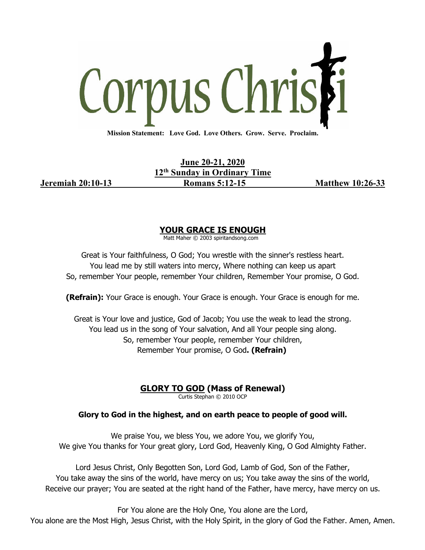

**Mission Statement: Love God. Love Others. Grow. Serve. Proclaim.** 

**June 20-21, 2020 12th Sunday in Ordinary Time Jeremiah 20:10-13 Romans 5:12-15 Matthew 10:26-33**

#### **YOUR GRACE IS ENOUGH**

Matt Maher © 2003 spiritandsong.com

Great is Your faithfulness, O God; You wrestle with the sinner's restless heart. You lead me by still waters into mercy, Where nothing can keep us apart So, remember Your people, remember Your children, Remember Your promise, O God.

**(Refrain):** Your Grace is enough. Your Grace is enough. Your Grace is enough for me.

Great is Your love and justice, God of Jacob; You use the weak to lead the strong. You lead us in the song of Your salvation, And all Your people sing along. So, remember Your people, remember Your children, Remember Your promise, O God**. (Refrain)**

# **GLORY TO GOD (Mass of Renewal)**

Curtis Stephan © 2010 OCP

#### **Glory to God in the highest, and on earth peace to people of good will.**

We praise You, we bless You, we adore You, we glorify You, We give You thanks for Your great glory, Lord God, Heavenly King, O God Almighty Father.

Lord Jesus Christ, Only Begotten Son, Lord God, Lamb of God, Son of the Father, You take away the sins of the world, have mercy on us; You take away the sins of the world, Receive our prayer; You are seated at the right hand of the Father, have mercy, have mercy on us.

For You alone are the Holy One, You alone are the Lord, You alone are the Most High, Jesus Christ, with the Holy Spirit, in the glory of God the Father. Amen, Amen.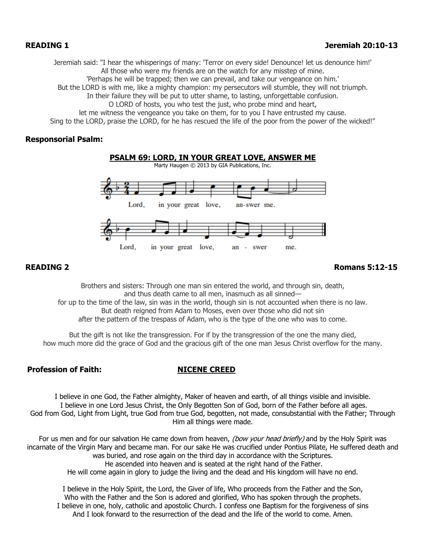Jeremiah said: "I hear the whisperings of many: 'Terror on every side! Denounce! let us denounce him!' All those who were my friends are on the watch for any misstep of mine. 'Perhaps he will be trapped; then we can prevail, and take our vengeance on him.' But the LORD is with me, like a mighty champion: my persecutors will stumble, they will not triumph. In their failure they will be put to utter shame, to lasting, unforgettable confusion. O LORD of hosts, you who test the just, who probe mind and heart, let me witness the vengeance you take on them, for to you I have entrusted my cause. Sing to the LORD, praise the LORD, for he has rescued the life of the poor from the power of the wicked!"

#### **Responsorial Psalm:**



#### **READING 2 Romans 5:12-15**

Brothers and sisters: Through one man sin entered the world, and through sin, death, and thus death came to all men, inasmuch as all sinned for up to the time of the law, sin was in the world, though sin is not accounted when there is no law. But death reigned from Adam to Moses, even over those who did not sin

after the pattern of the trespass of Adam, who is the type of the one who was to come.

But the gift is not like the transgression. For if by the transgression of the one the many died, how much more did the grace of God and the gracious gift of the one man Jesus Christ overflow for the many.

# **Profession of Faith: NICENE CREED**

I believe in one God, the Father almighty, Maker of heaven and earth, of all things visible and invisible. I believe in one Lord Jesus Christ, the Only Begotten Son of God, born of the Father before all ages. God from God, Light from Light, true God from true God, begotten, not made, consubstantial with the Father; Through Him all things were made.

For us men and for our salvation He came down from heaven, (bow your head briefly) and by the Holy Spirit was incarnate of the Virgin Mary and became man. For our sake He was crucified under Pontius Pilate, He suffered death and was buried, and rose again on the third day in accordance with the Scriptures. He ascended into heaven and is seated at the right hand of the Father. He will come again in glory to judge the living and the dead and His kingdom will have no end.

I believe in the Holy Spirit, the Lord, the Giver of life, Who proceeds from the Father and the Son, Who with the Father and the Son is adored and glorified, Who has spoken through the prophets. I believe in one, holy, catholic and apostolic Church. I confess one Baptism for the forgiveness of sins And I look forward to the resurrection of the dead and the life of the world to come. Amen.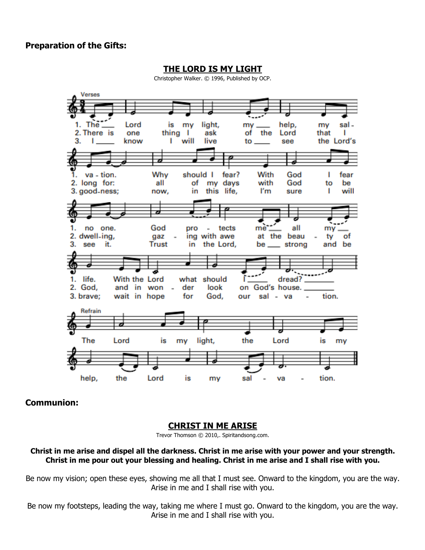**Preparation of the Gifts:** 

### **THE LORD IS MY LIGHT**

Christopher Walker. © 1996, Published by OCP.



**Communion:** 

# **CHRIST IN ME ARISE**

Trevor Thomson © 2010,. Spiritandsong.com.

**Christ in me arise and dispel all the darkness. Christ in me arise with your power and your strength. Christ in me pour out your blessing and healing. Christ in me arise and I shall rise with you.**

Be now my vision; open these eyes, showing me all that I must see. Onward to the kingdom, you are the way. Arise in me and I shall rise with you.

Be now my footsteps, leading the way, taking me where I must go. Onward to the kingdom, you are the way. Arise in me and I shall rise with you.